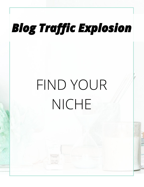# FIND YOUR NICHE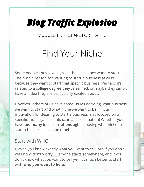MODULE 1 // PREPARE FOR TRAFFIC

#### Find Your Niche

Some people know exactly what business they want to start. Their main reason for wanting to start a business at all is because they want to start that specific business. Perhaps it's related to a college degree they've earned, or maybe they simply have an idea they are particularly excited about.

However, others of us have some issues deciding what business we want to start and what niche we want to be in. Our motivation for desiring to start a business isn't focused on a specific industry. This puts us in a hard situation! Whether you have **too many** ideas or **not enough**, choosing what niche to start a business in can be tough.

#### Start with WHO

Maybe you know exactly what you want to sell, but if you don't yet know, don't worry! Everyone starts somewhere, and if you don't know what you want to sell yet, it's much better to start with **who you want to help**.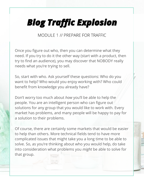MODULE 1 // PREPARE FOR TRAFFIC

Once you figure out who, then you can determine what they need. If you try to do it the other way (start with a product, then try to find an audience), you may discover that NOBODY really needs what you're trying to sell.

So, start with who. Ask yourself these questions: Who do you want to help? Who would you enjoy working with? Who could benefit from knowledge you already have?

Don't worry too much about *how* you'll be able to help the people. You are an intelligent person who can figure out solutions for any group that you would like to work with. Every market has problems, and many people will be happy to pay for a solution to their problems.

Of course, there are certainly some markets that would be easier to help than others. More technical fields tend to have more complicated issues that might take you a long time to be able to solve. So, as you're thinking about who you would help, do take into consideration what problems you *might* be able to solve for that group.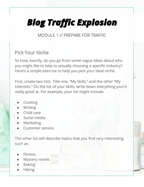MODULE 1 // PREPARE FOR TRAFFIC

#### Pick Your Niche

So how, exactly, do you go from some vague ideas about who you might like to help to actually choosing a specific industry? Here's a simple exercise to help you pick your ideal niche:

First, create two lists. Title one, "My Skills," and the other "My Interests." On the list of your skills, write down everything you're really good at. For example, your list might include:

- **Cooking**
- **Writing**
- Child care
- Social media
- **Marketing**
- Customer service

The other list will describe topics that you find very interesting, such as:

- **Fitness**
- Mystery novels
- **Baking**
- **Hiking**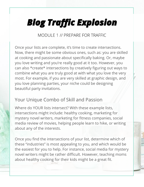MODULE 1 // PREPARE FOR TRAFFIC

Once your lists are complete, it's time to create intersections. Now, there might be some obvious ones, such as: you are skilled at cooking and passionate about specifically baking. Or, maybe you love writing and you're really good at it too. However, you can also \*create\* intersections by creatively figuring out ways to combine what you are truly good at with what you love the very most. For example, if you are very skilled at graphic design, and you love planning parties, your niche could be designing beautiful party invitations.

#### Your Unique Combo of Skill and Passion

Where do YOUR lists intersect? With these example lists, intersections might include: healthy cooking, marketing for mystery novel writers, marketing for fitness companies, social media review of movies, helping people learn to hike, or writing about any of the interests.

Once you find the intersections of your list, determine which of these "industries" is most appealing to you, and which would be the easiest for you to help. For instance, social media for mystery novel writers might be rather difficult. However, teaching moms about healthy cooking for their kids might be a great fit.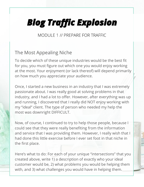MODULE 1 // PREPARE FOR TRAFFIC

#### The Most Appealing Niche

To decide which of these unique industries would be the best fit for you, you must figure out which one you would enjoy working at the most. Your enjoyment (or lack thereof) will depend primarily on how much you appreciate your audience.

Once, I started a new business in an industry that I was extremely passionate about. I was really good at solving problems in that industry, and I had a lot to offer. However, after everything was up and running, I discovered that I really did NOT enjoy working with my "ideal" client. The type of person who needed my help the most was downright DIFFICULT.

Now, of course, I continued to try to help those people, because I could see that they were really benefiting from the information and service that I was providing them. However, I really wish that I had done this little exercise before I ever set foot in that niche in the first place.

Here's what to do: For each of your unique "intersections" that you created above, write 1) a description of exactly who your ideal customer would be, 2) what problems you would be helping them with, and 3) what challenges you would have in helping them.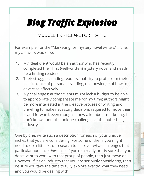MODULE 1 // PREPARE FOR TRAFFIC

For example, for the "Marketing for mystery novel writers" niche, my answers would be:

- 1. My ideal client would be an author who has recently completed their first (well-written) mystery novel and needs help finding readers.
- 2. Their struggles: finding readers, inability to profit from their passion, lack of personal branding, no knowledge of how to advertise effectively.
- 3. My challenges: author clients might lack a budget to be able to appropriately compensate me for my time; authors might be more interested in the creative process of writing and unwilling to make necessary decisions required to move their brand forward; even though I know a lot about marketing, I don't know about the unique challenges of the publishing industry.

One by one, write such a description for each of your unique niches that you are considering. For some of them, you might need to do a little bit of research to discover what challenges that particular audience *does* face. If you're already pretty sure that you don't want to work with that group of people, then just move on. However, if it's an industry that you are seriously considering, then be sure you take the time to fully explore exactly what they need and you would be dealing with.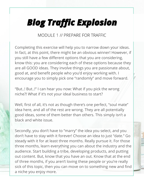MODULE 1 // PREPARE FOR TRAFFIC

Completing this exercise will help you to narrow down your ideas. In fact, at this point, there might be an obvious winner! However, if you still have a few different options that you are considering, know this: you are considering each of these options because they are all GOOD ideas. They involve things you are passionate about, good at, and benefit people who you'd enjoy working with. I encourage you to simply pick one "randomly" and move forward.

"But..! But..!" I can hear you now: What if you pick the wrong niche?! What if it's not your ideal business to start?

Well, first of all, it's not as though there's one perfect, "soul mate" idea here, and all of the rest are wrong. They are all potentially good ideas, some of them better than others. This simply isn't a black and white issue.

Secondly, you don't have to "marry" the idea you select, and you don't have to stay with it forever! Choose an idea to just "date." Go steady with it for at least three months. Really pursue it. For those three months, learn everything you can about the industry and the audience. Start building a tribe, developing products, and putting out content. But, know that you have an out. Know that at the end of three months, if you aren't loving these people or you're really sick of this topic, then you can move on to something new and find a niche you enjoy more.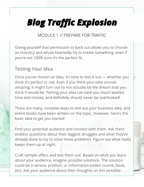MODULE 1 // PREPARE FOR TRAFFIC

Giving yourself that permission to back out allows you to choose an industry and whole-heartedly try to create something, even if you're not 100% sure it's the perfect fit.

#### Testing Your Idea

Once you've chosen an idea, it's time to test it out — whether you think it's perfect or not. Even if you think your idea sounds amazing, it might turn out to not actually be the dream that you think it would be. Testing your idea can save you much wasted time and money, and definitely should never be overlooked!

There are many, complex ways to test out your business idea, and entire books have been written on the topic. However, here's the basic idea to get you started:

Find your potential audience and connect with them. Ask them endless questions about their biggest struggles and what they've already done to try to solve these problems. Figure out what really keeps them up at night.

Craft sample offers and test them out. Based on what you learn about your audience, imagine possible solutions. The solution could be a service, product, or information (video course, book, etc). Ask your audience about their thoughts on this possible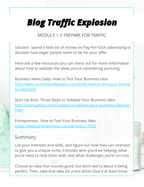MODULE 1 // PREPARE FOR TRAFFIC

solution. Spend a little bit of money on Pay-Per-Click advertising to discover how eager people seem to be for your offer.

Here are a few resources you can check out for more information about how to validate the ideas you're considering pursuing:

Business News Daily: How to Test Your Business Idea [http://www.businessnewsdaily.com/6540-how-to-test-your-busine](http://www.businessnewsdaily.com/6540-how-to-test-your-business-idea.html) [ss-idea.html](http://www.businessnewsdaily.com/6540-how-to-test-your-business-idea.html)

Start Up Bros: Three Steps to Validate Your Business Idea [http://startupbros.com/3-steps-to-validate-your-business-idea-for](http://startupbros.com/3-steps-to-validate-your-business-idea-for-free/)[free/](http://startupbros.com/3-steps-to-validate-your-business-idea-for-free/)

Entrepreneur: How to Test Your Business Idea <https://www.entrepreneur.com/article/217563>

#### Summary

List your interests and skills, and figure out how they can intersect to give you a unique niche. Consider who you'd be helping, what you'd need to help them with, and what challenges you'd run into.

Choose an idea that sounds good, but don't worry about it being perfect. Then, take that idea for a test drive! Give it at least three